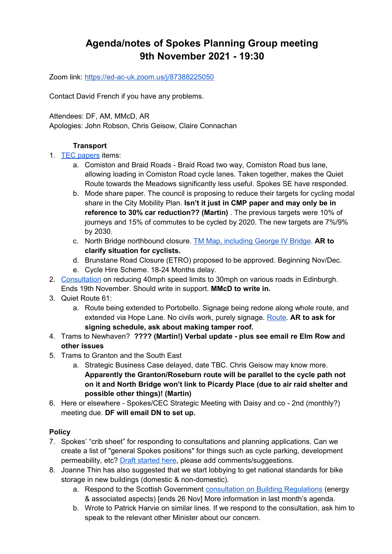# **Agenda/notes of Spokes Planning Group meeting 9th November 2021 - 19:30**

Zoom link:<https://ed-ac-uk.zoom.us/j/87388225050>

Contact David French if you have any problems.

Attendees: DF, AM, MMcD, AR

Apologies: John Robson, Chris Geisow, Claire Connachan

### **Transport**

- 1. [TEC papers](https://democracy.edinburgh.gov.uk/ieListDocuments.aspx?CId=136&MId=6156&Ver=4) items:
	- a. Comiston and Braid Roads Braid Road two way, Comiston Road bus lane, allowing loading in Comiston Road cycle lanes. Taken together, makes the Quiet Route towards the Meadows significantly less useful. Spokes SE have responded.
	- b. Mode share paper. The council is proposing to reduce their targets for cycling modal share in the City Mobility Plan. **Isn't it just in CMP paper and may only be in reference to 30% car reduction?? (Martin)** . The previous targets were 10% of journeys and 15% of commutes to be cycled by 2020. The new targets are 7%/9% by 2030.
	- c. North Bridge northbound closure. [TM Map, including George IV Bridge.](https://www.edinburgh.gov.uk/downloads/file/30181/17-september-2021) **AR to clarify situation for cyclists.**
	- d. Brunstane Road Closure (ETRO) proposed to be approved. Beginning Nov/Dec.
	- e. Cycle Hire Scheme. 18-24 Months delay.
- 2. [Consultation](https://www.edinburgh.gov.uk/downloads/download/14938/tro2020---introduce-speed-limits---various-locations) on reducing 40mph speed limits to 30mph on various roads in Edinburgh. Ends 19th November. Should write in support. **MMcD to write in.**
- 3. Quiet Route 61:
	- a. Route being extended to Portobello. Signage being redone along whole route, and extended via Hope Lane. No civils work, purely signage. [Route.](https://www.google.co.uk/maps/dir/55.8980821,-3.1418436/55.9079853,-3.1419853/55.9136634,-3.1366291/55.943275,-3.1121942/55.9533723,-3.1071206/@55.9232617,-3.175058,8479m/data=!3m1!1e3!4m22!4m21!1m0!1m0!1m5!3m4!1m2!1d-3.1389886!2d55.9188717!3s0x4887b8ea72ad6b7b:0x9ae7f5072f4fbe5b!1m10!3m4!1m2!1d-3.1084681!2d55.9507796!3s0x4887b9ae4bbc9e27:0xcbbd812fab0f8246!3m4!1m2!1d-3.108103!2d55.9521375!3s0x4887b9afd3641573:0x1f0d3bbc79f36bb1!1m0!3e1) **AR to ask for signing schedule, ask about making tamper roof.**
- 4. Trams to Newhaven? **???? (Martin!) Verbal update plus see email re Elm Row and other issues**
- 5. Trams to Granton and the South East
	- a. Strategic Business Case delayed, date TBC. Chris Geisow may know more. **Apparently the Granton/Roseburn route will be parallel to the cycle path not on it and North Bridge won't link to Picardy Place (due to air raid shelter and possible other things)! (Martin)**
- 6. Here or elsewhere Spokes/CEC Strategic Meeting with Daisy and co 2nd (monthly?) meeting due. **DF will email DN to set up.**

### **Policy**

- 7. Spokes' "crib sheet" for responding to consultations and planning applications. Can we create a list of "general Spokes positions" for things such as cycle parking, development permeability, etc? [Draft started here,](https://docs.google.com/document/d/12TpqAqv2MVyF8m3TTm_b_56p1GoFRFMAuQWo5vICop8/edit?usp=sharing) please add comments/suggestions.
- 8. Joanne Thin has also suggested that we start lobbying to get national standards for bike storage in new buildings (domestic & non-domestic).
	- a. Respond to the Scottish Government [consultation on Building Regulations](https://consult.gov.scot/local-government-and-communities/building-regulations-energy-standards-review/) (energy & associated aspects) [ends 26 Nov] More information in last month's agenda.
	- b. Wrote to Patrick Harvie on similar lines. If we respond to the consultation, ask him to speak to the relevant other Minister about our concern.